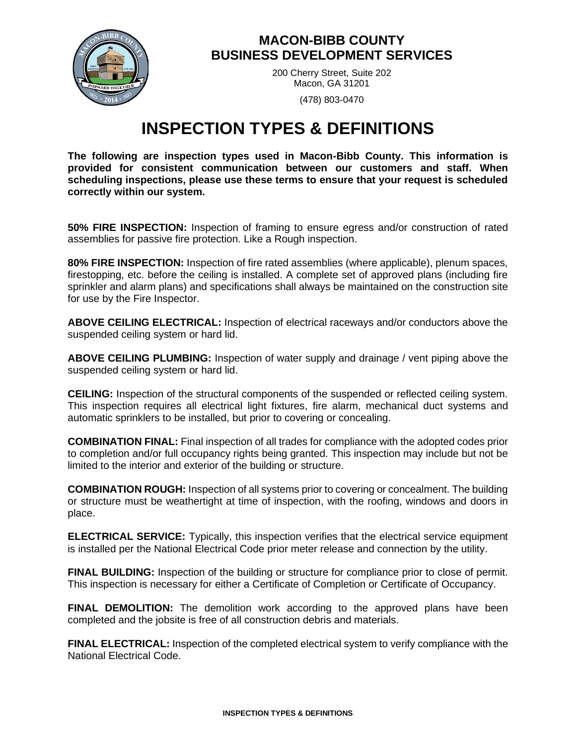

## **MACON-BIBB COUNTY BUSINESS DEVELOPMENT SERVICES**

200 Cherry Street, Suite 202 Macon, GA 31201

(478) 803-0470

## **INSPECTION TYPES & DEFINITIONS**

**The following are inspection types used in Macon-Bibb County. This information is provided for consistent communication between our customers and staff. When scheduling inspections, please use these terms to ensure that your request is scheduled correctly within our system.** 

**50% FIRE INSPECTION:** Inspection of framing to ensure egress and/or construction of rated assemblies for passive fire protection. Like a Rough inspection.

**80% FIRE INSPECTION:** Inspection of fire rated assemblies (where applicable), plenum spaces, firestopping, etc. before the ceiling is installed. A complete set of approved plans (including fire sprinkler and alarm plans) and specifications shall always be maintained on the construction site for use by the Fire Inspector.

**ABOVE CEILING ELECTRICAL:** Inspection of electrical raceways and/or conductors above the suspended ceiling system or hard lid.

**ABOVE CEILING PLUMBING:** Inspection of water supply and drainage / vent piping above the suspended ceiling system or hard lid.

**CEILING:** Inspection of the structural components of the suspended or reflected ceiling system. This inspection requires all electrical light fixtures, fire alarm, mechanical duct systems and automatic sprinklers to be installed, but prior to covering or concealing.

**COMBINATION FINAL:** Final inspection of all trades for compliance with the adopted codes prior to completion and/or full occupancy rights being granted. This inspection may include but not be limited to the interior and exterior of the building or structure.

**COMBINATION ROUGH:** Inspection of all systems prior to covering or concealment. The building or structure must be weathertight at time of inspection, with the roofing, windows and doors in place.

**ELECTRICAL SERVICE:** Typically, this inspection verifies that the electrical service equipment is installed per the National Electrical Code prior meter release and connection by the utility.

**FINAL BUILDING:** Inspection of the building or structure for compliance prior to close of permit. This inspection is necessary for either a Certificate of Completion or Certificate of Occupancy.

**FINAL DEMOLITION:** The demolition work according to the approved plans have been completed and the jobsite is free of all construction debris and materials.

**FINAL ELECTRICAL:** Inspection of the completed electrical system to verify compliance with the National Electrical Code.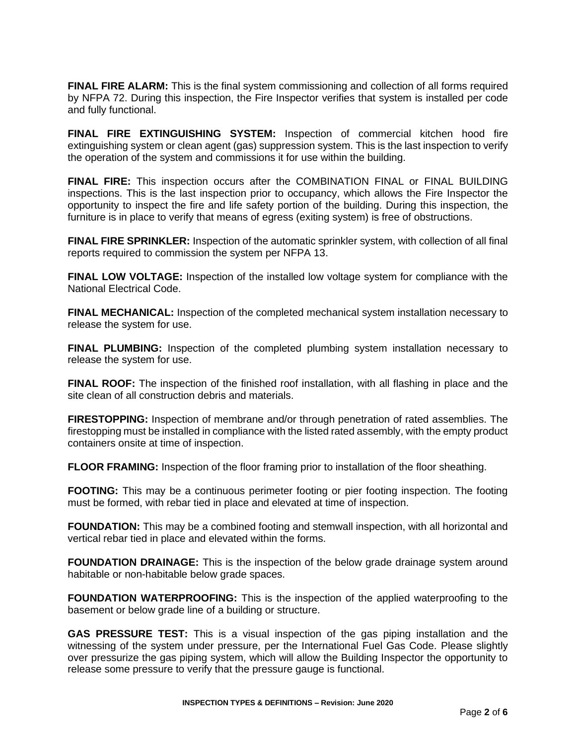**FINAL FIRE ALARM:** This is the final system commissioning and collection of all forms required by NFPA 72. During this inspection, the Fire Inspector verifies that system is installed per code and fully functional.

**FINAL FIRE EXTINGUISHING SYSTEM:** Inspection of commercial kitchen hood fire extinguishing system or clean agent (gas) suppression system. This is the last inspection to verify the operation of the system and commissions it for use within the building.

**FINAL FIRE:** This inspection occurs after the COMBINATION FINAL or FINAL BUILDING inspections. This is the last inspection prior to occupancy, which allows the Fire Inspector the opportunity to inspect the fire and life safety portion of the building. During this inspection, the furniture is in place to verify that means of egress (exiting system) is free of obstructions.

**FINAL FIRE SPRINKLER:** Inspection of the automatic sprinkler system, with collection of all final reports required to commission the system per NFPA 13.

**FINAL LOW VOLTAGE:** Inspection of the installed low voltage system for compliance with the National Electrical Code.

**FINAL MECHANICAL:** Inspection of the completed mechanical system installation necessary to release the system for use.

**FINAL PLUMBING:** Inspection of the completed plumbing system installation necessary to release the system for use.

**FINAL ROOF:** The inspection of the finished roof installation, with all flashing in place and the site clean of all construction debris and materials.

**FIRESTOPPING:** Inspection of membrane and/or through penetration of rated assemblies. The firestopping must be installed in compliance with the listed rated assembly, with the empty product containers onsite at time of inspection.

**FLOOR FRAMING:** Inspection of the floor framing prior to installation of the floor sheathing.

**FOOTING:** This may be a continuous perimeter footing or pier footing inspection. The footing must be formed, with rebar tied in place and elevated at time of inspection.

**FOUNDATION:** This may be a combined footing and stemwall inspection, with all horizontal and vertical rebar tied in place and elevated within the forms.

**FOUNDATION DRAINAGE:** This is the inspection of the below grade drainage system around habitable or non-habitable below grade spaces.

**FOUNDATION WATERPROOFING:** This is the inspection of the applied waterproofing to the basement or below grade line of a building or structure.

**GAS PRESSURE TEST:** This is a visual inspection of the gas piping installation and the witnessing of the system under pressure, per the International Fuel Gas Code. Please slightly over pressurize the gas piping system, which will allow the Building Inspector the opportunity to release some pressure to verify that the pressure gauge is functional.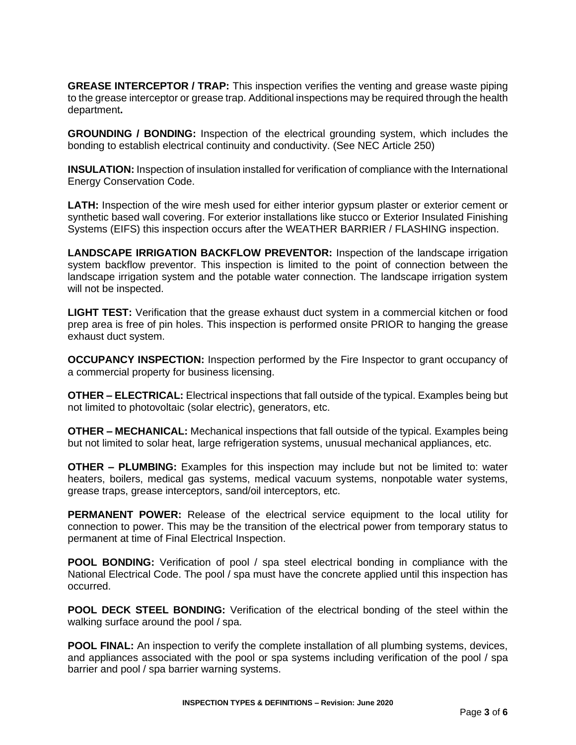**GREASE INTERCEPTOR / TRAP:** This inspection verifies the venting and grease waste piping to the grease interceptor or grease trap. Additional inspections may be required through the health department**.** 

**GROUNDING / BONDING:** Inspection of the electrical grounding system, which includes the bonding to establish electrical continuity and conductivity. (See NEC Article 250)

**INSULATION:** Inspection of insulation installed for verification of compliance with the International Energy Conservation Code.

**LATH:** Inspection of the wire mesh used for either interior gypsum plaster or exterior cement or synthetic based wall covering. For exterior installations like stucco or Exterior Insulated Finishing Systems (EIFS) this inspection occurs after the WEATHER BARRIER / FLASHING inspection.

**LANDSCAPE IRRIGATION BACKFLOW PREVENTOR:** Inspection of the landscape irrigation system backflow preventor. This inspection is limited to the point of connection between the landscape irrigation system and the potable water connection. The landscape irrigation system will not be inspected.

**LIGHT TEST:** Verification that the grease exhaust duct system in a commercial kitchen or food prep area is free of pin holes. This inspection is performed onsite PRIOR to hanging the grease exhaust duct system.

**OCCUPANCY INSPECTION:** Inspection performed by the Fire Inspector to grant occupancy of a commercial property for business licensing.

**OTHER – ELECTRICAL:** Electrical inspections that fall outside of the typical. Examples being but not limited to photovoltaic (solar electric), generators, etc.

**OTHER – MECHANICAL:** Mechanical inspections that fall outside of the typical. Examples being but not limited to solar heat, large refrigeration systems, unusual mechanical appliances, etc.

**OTHER – PLUMBING:** Examples for this inspection may include but not be limited to: water heaters, boilers, medical gas systems, medical vacuum systems, nonpotable water systems, grease traps, grease interceptors, sand/oil interceptors, etc.

**PERMANENT POWER:** Release of the electrical service equipment to the local utility for connection to power. This may be the transition of the electrical power from temporary status to permanent at time of Final Electrical Inspection.

**POOL BONDING:** Verification of pool / spa steel electrical bonding in compliance with the National Electrical Code. The pool / spa must have the concrete applied until this inspection has occurred.

**POOL DECK STEEL BONDING:** Verification of the electrical bonding of the steel within the walking surface around the pool / spa.

**POOL FINAL:** An inspection to verify the complete installation of all plumbing systems, devices, and appliances associated with the pool or spa systems including verification of the pool / spa barrier and pool / spa barrier warning systems.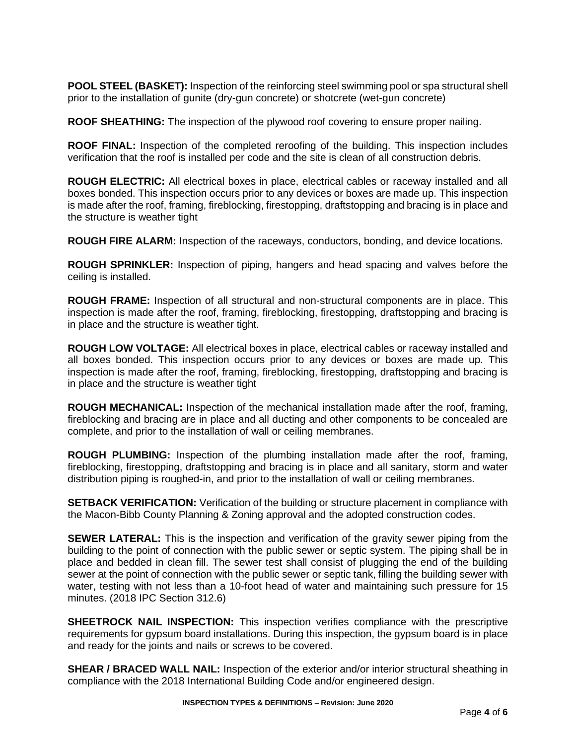**POOL STEEL (BASKET):** Inspection of the reinforcing steel swimming pool or spa structural shell prior to the installation of gunite (dry-gun concrete) or shotcrete (wet-gun concrete)

**ROOF SHEATHING:** The inspection of the plywood roof covering to ensure proper nailing.

**ROOF FINAL:** Inspection of the completed reroofing of the building. This inspection includes verification that the roof is installed per code and the site is clean of all construction debris.

**ROUGH ELECTRIC:** All electrical boxes in place, electrical cables or raceway installed and all boxes bonded. This inspection occurs prior to any devices or boxes are made up. This inspection is made after the roof, framing, fireblocking, firestopping, draftstopping and bracing is in place and the structure is weather tight

**ROUGH FIRE ALARM:** Inspection of the raceways, conductors, bonding, and device locations.

**ROUGH SPRINKLER:** Inspection of piping, hangers and head spacing and valves before the ceiling is installed.

**ROUGH FRAME:** Inspection of all structural and non-structural components are in place. This inspection is made after the roof, framing, fireblocking, firestopping, draftstopping and bracing is in place and the structure is weather tight.

**ROUGH LOW VOLTAGE:** All electrical boxes in place, electrical cables or raceway installed and all boxes bonded. This inspection occurs prior to any devices or boxes are made up. This inspection is made after the roof, framing, fireblocking, firestopping, draftstopping and bracing is in place and the structure is weather tight

**ROUGH MECHANICAL:** Inspection of the mechanical installation made after the roof, framing, fireblocking and bracing are in place and all ducting and other components to be concealed are complete, and prior to the installation of wall or ceiling membranes.

**ROUGH PLUMBING:** Inspection of the plumbing installation made after the roof, framing, fireblocking, firestopping, draftstopping and bracing is in place and all sanitary, storm and water distribution piping is roughed-in, and prior to the installation of wall or ceiling membranes.

**SETBACK VERIFICATION:** Verification of the building or structure placement in compliance with the Macon-Bibb County Planning & Zoning approval and the adopted construction codes.

**SEWER LATERAL:** This is the inspection and verification of the gravity sewer piping from the building to the point of connection with the public sewer or septic system. The piping shall be in place and bedded in clean fill. The sewer test shall consist of plugging the end of the building sewer at the point of connection with the public sewer or septic tank, filling the building sewer with water, testing with not less than a 10-foot head of water and maintaining such pressure for 15 minutes. (2018 IPC Section 312.6)

**SHEETROCK NAIL INSPECTION:** This inspection verifies compliance with the prescriptive requirements for gypsum board installations. During this inspection, the gypsum board is in place and ready for the joints and nails or screws to be covered.

**SHEAR / BRACED WALL NAIL:** Inspection of the exterior and/or interior structural sheathing in compliance with the 2018 International Building Code and/or engineered design.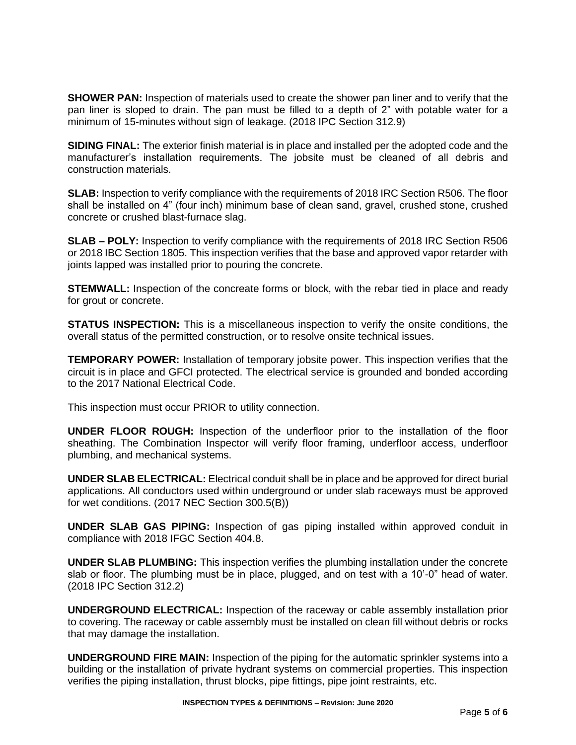**SHOWER PAN:** Inspection of materials used to create the shower pan liner and to verify that the pan liner is sloped to drain. The pan must be filled to a depth of 2" with potable water for a minimum of 15-minutes without sign of leakage. (2018 IPC Section 312.9)

**SIDING FINAL:** The exterior finish material is in place and installed per the adopted code and the manufacturer's installation requirements. The jobsite must be cleaned of all debris and construction materials.

**SLAB:** Inspection to verify compliance with the requirements of 2018 IRC Section R506. The floor shall be installed on 4" (four inch) minimum base of clean sand, gravel, crushed stone, crushed concrete or crushed blast-furnace slag.

**SLAB – POLY:** Inspection to verify compliance with the requirements of 2018 IRC Section R506 or 2018 IBC Section 1805. This inspection verifies that the base and approved vapor retarder with joints lapped was installed prior to pouring the concrete.

**STEMWALL:** Inspection of the concreate forms or block, with the rebar tied in place and ready for grout or concrete.

**STATUS INSPECTION:** This is a miscellaneous inspection to verify the onsite conditions, the overall status of the permitted construction, or to resolve onsite technical issues.

**TEMPORARY POWER:** Installation of temporary jobsite power. This inspection verifies that the circuit is in place and GFCI protected. The electrical service is grounded and bonded according to the 2017 National Electrical Code.

This inspection must occur PRIOR to utility connection.

**UNDER FLOOR ROUGH:** Inspection of the underfloor prior to the installation of the floor sheathing. The Combination Inspector will verify floor framing, underfloor access, underfloor plumbing, and mechanical systems.

**UNDER SLAB ELECTRICAL:** Electrical conduit shall be in place and be approved for direct burial applications. All conductors used within underground or under slab raceways must be approved for wet conditions. (2017 NEC Section 300.5(B))

**UNDER SLAB GAS PIPING:** Inspection of gas piping installed within approved conduit in compliance with 2018 IFGC Section 404.8.

**UNDER SLAB PLUMBING:** This inspection verifies the plumbing installation under the concrete slab or floor. The plumbing must be in place, plugged, and on test with a 10'-0" head of water. (2018 IPC Section 312.2)

**UNDERGROUND ELECTRICAL:** Inspection of the raceway or cable assembly installation prior to covering. The raceway or cable assembly must be installed on clean fill without debris or rocks that may damage the installation.

**UNDERGROUND FIRE MAIN:** Inspection of the piping for the automatic sprinkler systems into a building or the installation of private hydrant systems on commercial properties. This inspection verifies the piping installation, thrust blocks, pipe fittings, pipe joint restraints, etc.